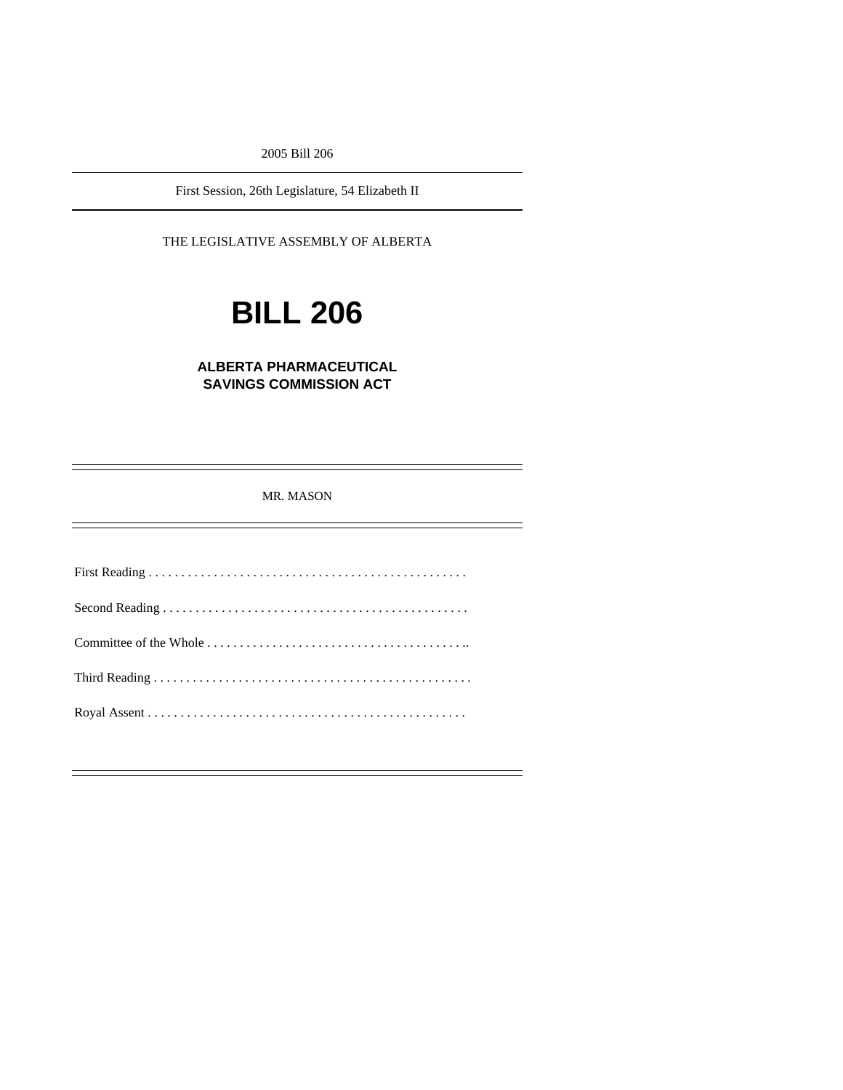2005 Bill 206

First Session, 26th Legislature, 54 Elizabeth II

THE LEGISLATIVE ASSEMBLY OF ALBERTA

# **BILL 206**

## **ALBERTA PHARMACEUTICAL SAVINGS COMMISSION ACT**

MR. MASON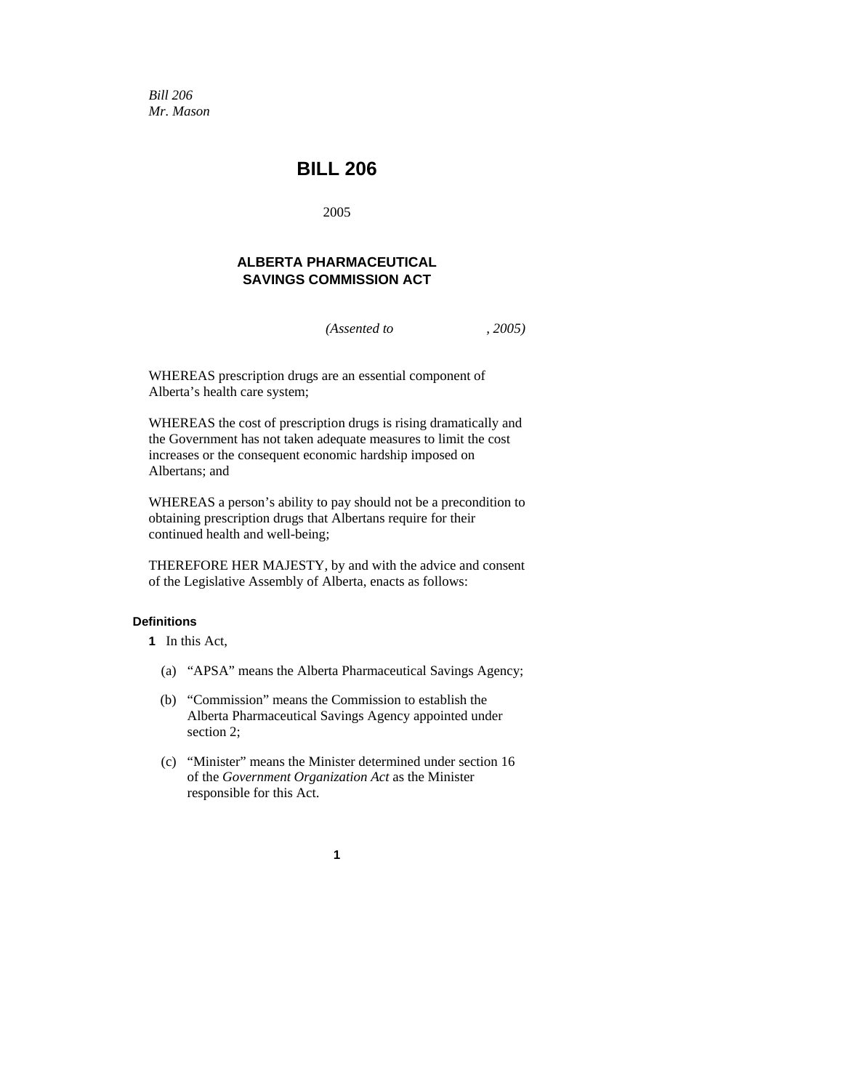*Bill 206 Mr. Mason* 

# **BILL 206**

2005

### **ALBERTA PHARMACEUTICAL SAVINGS COMMISSION ACT**

*(Assented to , 2005)* 

WHEREAS prescription drugs are an essential component of Alberta's health care system;

WHEREAS the cost of prescription drugs is rising dramatically and the Government has not taken adequate measures to limit the cost increases or the consequent economic hardship imposed on Albertans; and

WHEREAS a person's ability to pay should not be a precondition to obtaining prescription drugs that Albertans require for their continued health and well-being;

THEREFORE HER MAJESTY, by and with the advice and consent of the Legislative Assembly of Alberta, enacts as follows:

#### **Definitions**

**1** In this Act,

- (a) "APSA" means the Alberta Pharmaceutical Savings Agency;
- (b) "Commission" means the Commission to establish the Alberta Pharmaceutical Savings Agency appointed under section 2;
- (c) "Minister" means the Minister determined under section 16 of the *Government Organization Act* as the Minister responsible for this Act.

**1**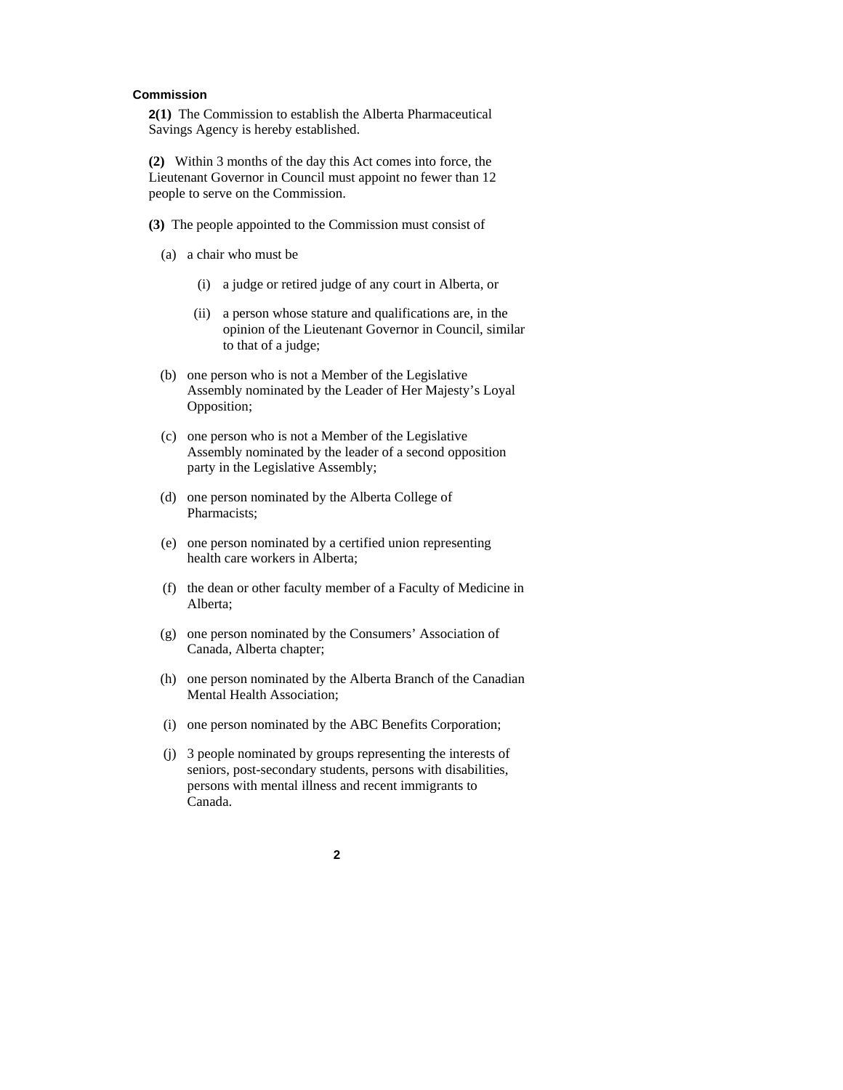#### **Commission**

**2(1)** The Commission to establish the Alberta Pharmaceutical Savings Agency is hereby established.

**(2)** Within 3 months of the day this Act comes into force, the Lieutenant Governor in Council must appoint no fewer than 12 people to serve on the Commission.

- **(3)** The people appointed to the Commission must consist of
	- (a) a chair who must be
		- (i) a judge or retired judge of any court in Alberta, or
		- (ii) a person whose stature and qualifications are, in the opinion of the Lieutenant Governor in Council, similar to that of a judge;
	- (b) one person who is not a Member of the Legislative Assembly nominated by the Leader of Her Majesty's Loyal Opposition;
	- (c) one person who is not a Member of the Legislative Assembly nominated by the leader of a second opposition party in the Legislative Assembly;
	- (d) one person nominated by the Alberta College of Pharmacists;
	- (e) one person nominated by a certified union representing health care workers in Alberta;
	- (f) the dean or other faculty member of a Faculty of Medicine in Alberta;
	- (g) one person nominated by the Consumers' Association of Canada, Alberta chapter;
	- (h) one person nominated by the Alberta Branch of the Canadian Mental Health Association;
	- (i) one person nominated by the ABC Benefits Corporation;
	- (j) 3 people nominated by groups representing the interests of seniors, post-secondary students, persons with disabilities, persons with mental illness and recent immigrants to Canada.

**2**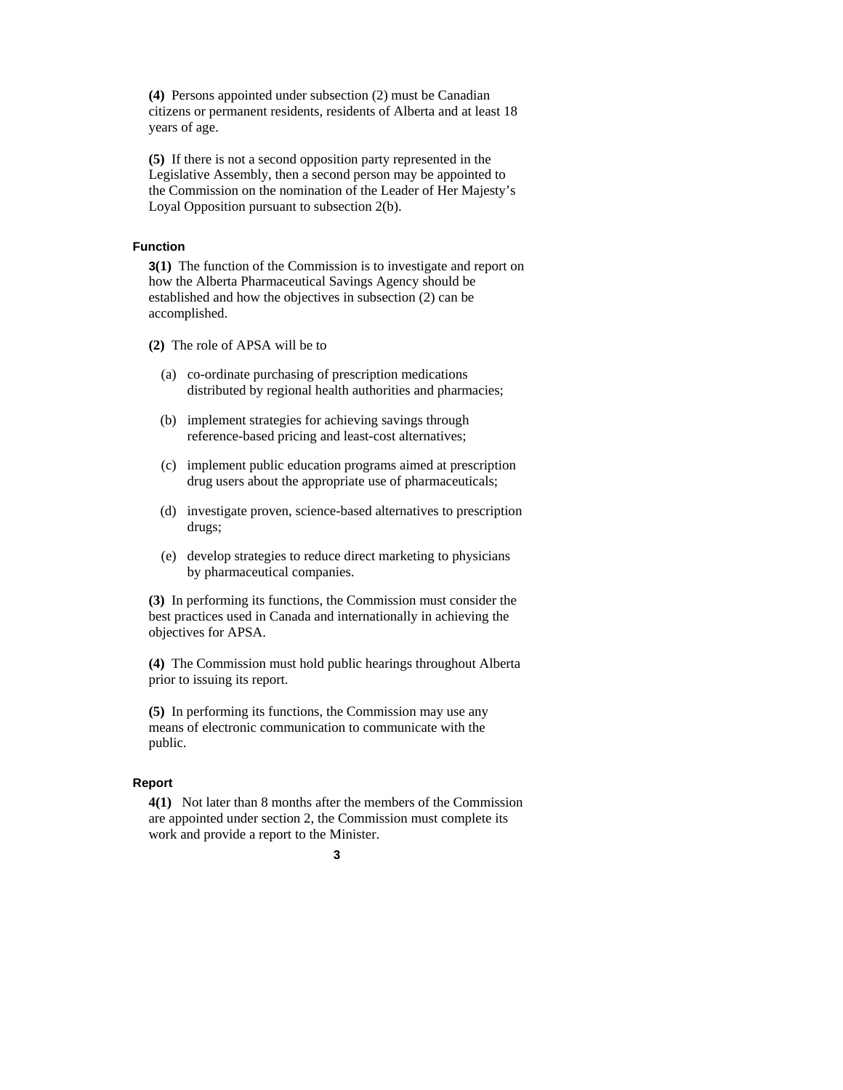**(4)** Persons appointed under subsection (2) must be Canadian citizens or permanent residents, residents of Alberta and at least 18 years of age.

**(5)** If there is not a second opposition party represented in the Legislative Assembly, then a second person may be appointed to the Commission on the nomination of the Leader of Her Majesty's Loyal Opposition pursuant to subsection 2(b).

#### **Function**

**3(1)** The function of the Commission is to investigate and report on how the Alberta Pharmaceutical Savings Agency should be established and how the objectives in subsection (2) can be accomplished.

**(2)** The role of APSA will be to

- (a) co-ordinate purchasing of prescription medications distributed by regional health authorities and pharmacies;
- (b) implement strategies for achieving savings through reference-based pricing and least-cost alternatives;
- (c) implement public education programs aimed at prescription drug users about the appropriate use of pharmaceuticals;
- (d) investigate proven, science-based alternatives to prescription drugs;
- (e) develop strategies to reduce direct marketing to physicians by pharmaceutical companies.

**(3)** In performing its functions, the Commission must consider the best practices used in Canada and internationally in achieving the objectives for APSA.

**(4)** The Commission must hold public hearings throughout Alberta prior to issuing its report.

**(5)** In performing its functions, the Commission may use any means of electronic communication to communicate with the public.

#### **Report**

**4(1)** Not later than 8 months after the members of the Commission are appointed under section 2, the Commission must complete its work and provide a report to the Minister.